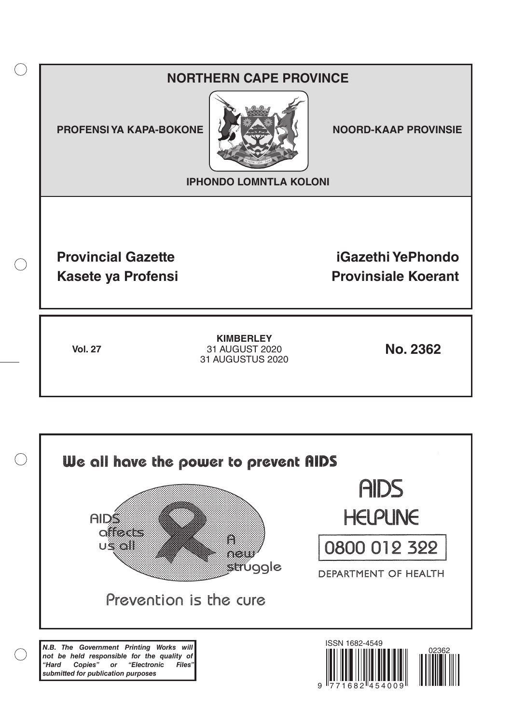# **NORTHERN CAPE PROVINCE**

**PROFENSI YA KAPA-BOKONE NOORD-KAAP PROVINSIE** 

 $($ )



**IPHONDO LOMNTLA KOLONI**

**Provincial Gazette iGazethi YePhondo Kasete ya Profensi Provinsiale Koerant** 

**Vol. 27 No. 2362** 31 AUGUST 2020 **KIMBERLEY** 31 AUGUSTUS 2020

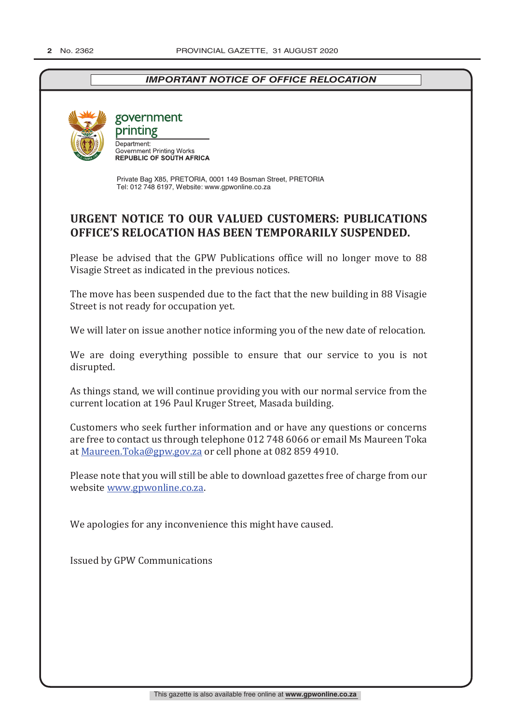## *IMPORTANT NOTICE OF OFFICE RELOCATION*



government printing

Department: **Government Printing Works<br>REPUBLIC OF SOUTH AFRICA** 

Private Bag X85, PRETORIA, 0001 149 Bosman Street, PRETORIA Tel: 012 748 6197, Website: www.gpwonline.co.za

# **URGENT NOTICE TO OUR VALUED CUSTOMERS: PUBLICATIONS OFFICE'S RELOCATION HAS BEEN TEMPORARILY SUSPENDED.**

Please be advised that the GPW Publications office will no longer move to 88 Visagie Street as indicated in the previous notices.

The move has been suspended due to the fact that the new building in 88 Visagie Street is not ready for occupation yet.

We will later on issue another notice informing you of the new date of relocation.

We are doing everything possible to ensure that our service to you is not disrupted.

As things stand, we will continue providing you with our normal service from the current location at 196 Paul Kruger Street, Masada building.

Customers who seek further information and or have any questions or concerns are free to contact us through telephone 012 748 6066 or email Ms Maureen Toka at Maureen.Toka@gpw.gov.za or cell phone at 082 859 4910.

Please note that you will still be able to download gazettes free of charge from our website www.gpwonline.co.za.

We apologies for any inconvenience this might have caused.

Issued by GPW Communications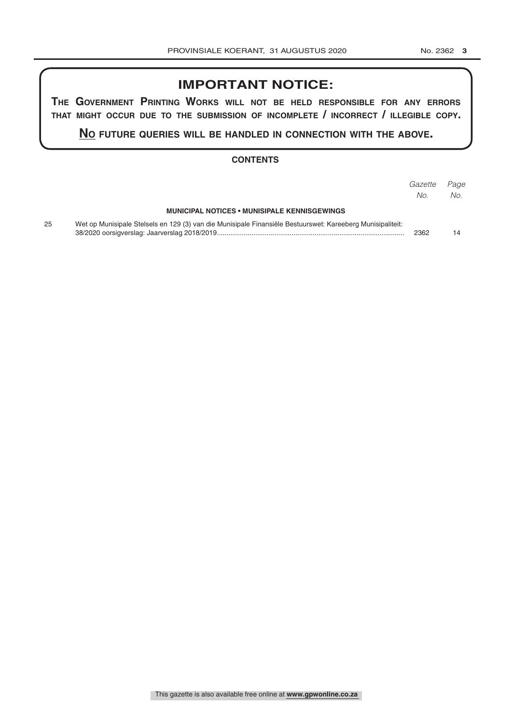# **IMPORTANT NOTICE:**

**The GovernmenT PrinTinG Works Will noT be held resPonsible for any errors ThaT miGhT occur due To The submission of incomPleTe / incorrecT / illeGible coPy.**

**no fuTure queries Will be handled in connecTion WiTh The above.**

#### **CONTENTS**

|    |                                                                                                            | Gazette<br>No. | Page<br>No. |
|----|------------------------------------------------------------------------------------------------------------|----------------|-------------|
|    | <b>MUNICIPAL NOTICES • MUNISIPALE KENNISGEWINGS</b>                                                        |                |             |
| 25 | Wet op Munisipale Stelsels en 129 (3) van die Munisipale Finansiële Bestuurswet: Kareeberg Munisipaliteit: | 2362           | 14          |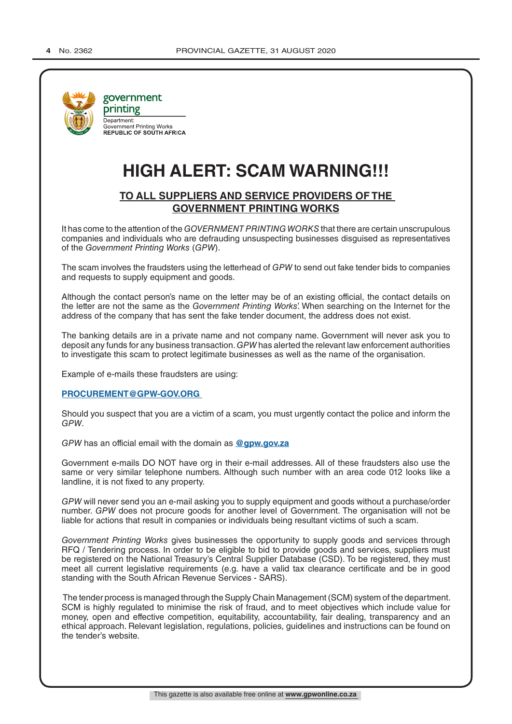

# **HIGH ALERT: SCAM WARNING!!!**

#### **TO ALL SUPPLIERS AND SERVICE PROVIDERS OF THE GOVERNMENT PRINTING WORKS**

It has come to the attention of the *GOVERNMENT PRINTING WORKS* that there are certain unscrupulous companies and individuals who are defrauding unsuspecting businesses disguised as representatives of the *Government Printing Works* (*GPW*).

The scam involves the fraudsters using the letterhead of *GPW* to send out fake tender bids to companies and requests to supply equipment and goods.

Although the contact person's name on the letter may be of an existing official, the contact details on the letter are not the same as the *Government Printing Works*'. When searching on the Internet for the address of the company that has sent the fake tender document, the address does not exist.

The banking details are in a private name and not company name. Government will never ask you to deposit any funds for any business transaction. *GPW* has alerted the relevant law enforcement authorities to investigate this scam to protect legitimate businesses as well as the name of the organisation.

Example of e-mails these fraudsters are using:

#### **PROCUREMENT@GPW-GOV.ORG**

Should you suspect that you are a victim of a scam, you must urgently contact the police and inform the *GPW*.

*GPW* has an official email with the domain as **@gpw.gov.za**

Government e-mails DO NOT have org in their e-mail addresses. All of these fraudsters also use the same or very similar telephone numbers. Although such number with an area code 012 looks like a landline, it is not fixed to any property.

*GPW* will never send you an e-mail asking you to supply equipment and goods without a purchase/order number. *GPW* does not procure goods for another level of Government. The organisation will not be liable for actions that result in companies or individuals being resultant victims of such a scam.

*Government Printing Works* gives businesses the opportunity to supply goods and services through RFQ / Tendering process. In order to be eligible to bid to provide goods and services, suppliers must be registered on the National Treasury's Central Supplier Database (CSD). To be registered, they must meet all current legislative requirements (e.g. have a valid tax clearance certificate and be in good standing with the South African Revenue Services - SARS).

 The tender process is managed through the Supply Chain Management (SCM) system of the department. SCM is highly regulated to minimise the risk of fraud, and to meet objectives which include value for money, open and effective competition, equitability, accountability, fair dealing, transparency and an ethical approach. Relevant legislation, regulations, policies, guidelines and instructions can be found on the tender's website.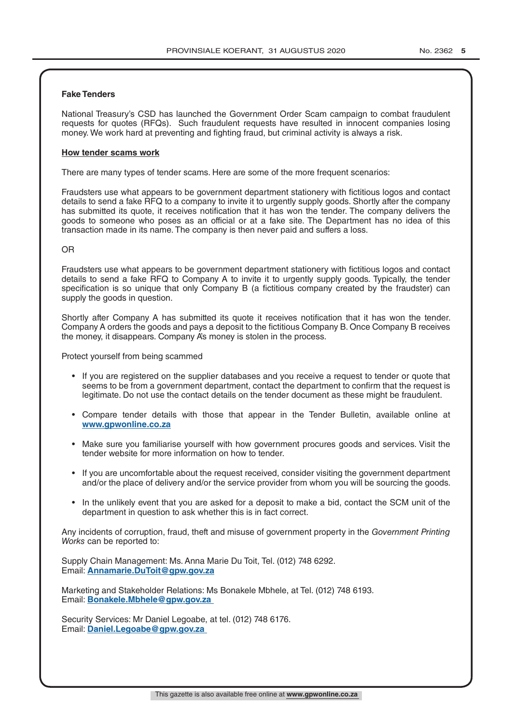#### **Fake Tenders**

National Treasury's CSD has launched the Government Order Scam campaign to combat fraudulent requests for quotes (RFQs). Such fraudulent requests have resulted in innocent companies losing money. We work hard at preventing and fighting fraud, but criminal activity is always a risk.

#### **How tender scams work**

There are many types of tender scams. Here are some of the more frequent scenarios:

Fraudsters use what appears to be government department stationery with fictitious logos and contact details to send a fake RFQ to a company to invite it to urgently supply goods. Shortly after the company has submitted its quote, it receives notification that it has won the tender. The company delivers the goods to someone who poses as an official or at a fake site. The Department has no idea of this transaction made in its name. The company is then never paid and suffers a loss.

#### OR

Fraudsters use what appears to be government department stationery with fictitious logos and contact details to send a fake RFQ to Company A to invite it to urgently supply goods. Typically, the tender specification is so unique that only Company B (a fictitious company created by the fraudster) can supply the goods in question.

Shortly after Company A has submitted its quote it receives notification that it has won the tender. Company A orders the goods and pays a deposit to the fictitious Company B. Once Company B receives the money, it disappears. Company A's money is stolen in the process.

Protect yourself from being scammed

- If you are registered on the supplier databases and you receive a request to tender or quote that seems to be from a government department, contact the department to confirm that the request is legitimate. Do not use the contact details on the tender document as these might be fraudulent.
- Compare tender details with those that appear in the Tender Bulletin, available online at **www.gpwonline.co.za**
- Make sure you familiarise yourself with how government procures goods and services. Visit the tender website for more information on how to tender.
- If you are uncomfortable about the request received, consider visiting the government department and/or the place of delivery and/or the service provider from whom you will be sourcing the goods.
- In the unlikely event that you are asked for a deposit to make a bid, contact the SCM unit of the department in question to ask whether this is in fact correct.

Any incidents of corruption, fraud, theft and misuse of government property in the *Government Printing Works* can be reported to:

Supply Chain Management: Ms. Anna Marie Du Toit, Tel. (012) 748 6292. Email: **Annamarie.DuToit@gpw.gov.za**

Marketing and Stakeholder Relations: Ms Bonakele Mbhele, at Tel. (012) 748 6193. Email: **Bonakele.Mbhele@gpw.gov.za** 

Security Services: Mr Daniel Legoabe, at tel. (012) 748 6176. Email: **Daniel.Legoabe@gpw.gov.za**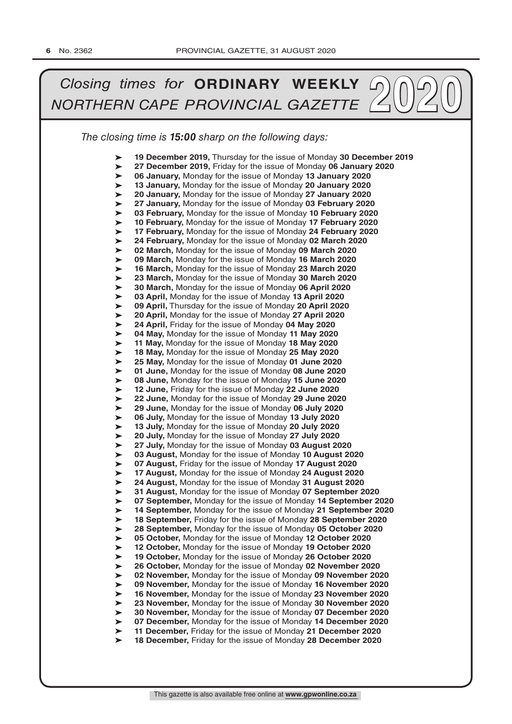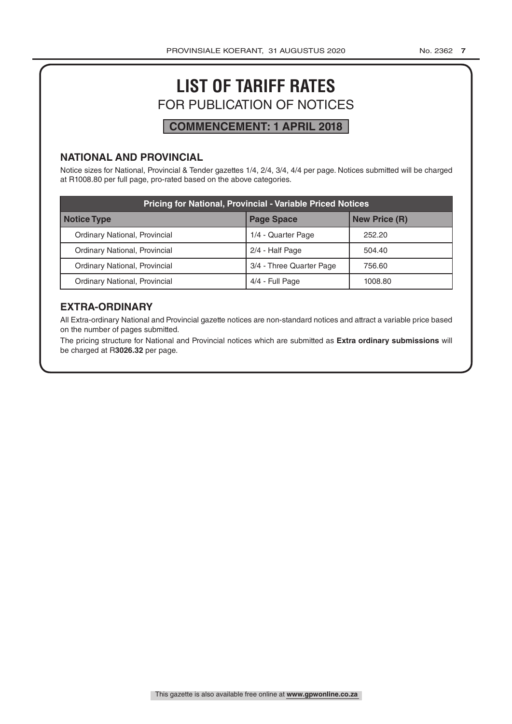# **LIST OF TARIFF RATES** FOR PUBLICATION OF NOTICES

# **COMMENCEMENT: 1 APRIL 2018**

#### **NATIONAL AND PROVINCIAL**

Notice sizes for National, Provincial & Tender gazettes 1/4, 2/4, 3/4, 4/4 per page. Notices submitted will be charged at R1008.80 per full page, pro-rated based on the above categories.

| <b>Pricing for National, Provincial - Variable Priced Notices</b> |                          |                      |  |
|-------------------------------------------------------------------|--------------------------|----------------------|--|
| Notice Type                                                       | <b>Page Space</b>        | <b>New Price (R)</b> |  |
| Ordinary National, Provincial                                     | 1/4 - Quarter Page       | 252.20               |  |
| Ordinary National, Provincial                                     | 2/4 - Half Page          | 504.40               |  |
| Ordinary National, Provincial                                     | 3/4 - Three Quarter Page | 756.60               |  |
| Ordinary National, Provincial                                     | 4/4 - Full Page          | 1008.80              |  |

### **EXTRA-ORDINARY**

All Extra-ordinary National and Provincial gazette notices are non-standard notices and attract a variable price based on the number of pages submitted.

The pricing structure for National and Provincial notices which are submitted as **Extra ordinary submissions** will be charged at R**3026.32** per page.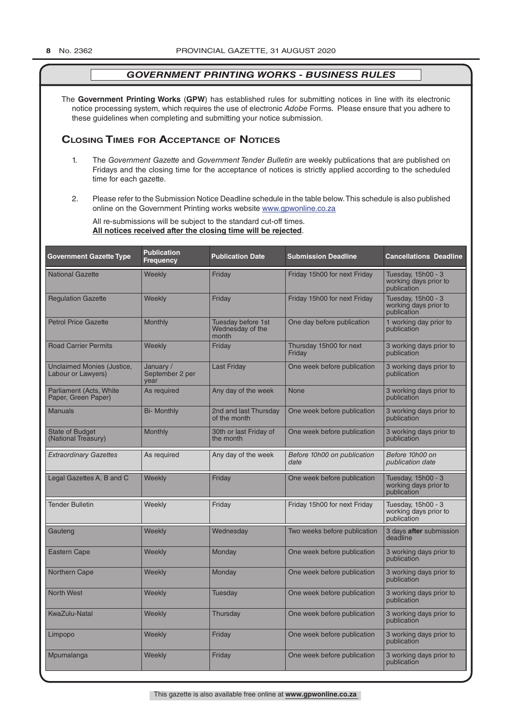The **Government Printing Works** (**GPW**) has established rules for submitting notices in line with its electronic notice processing system, which requires the use of electronic *Adobe* Forms. Please ensure that you adhere to these guidelines when completing and submitting your notice submission.

#### **Closing Times for ACCepTAnCe of noTiCes**

- 1. The *Government Gazette* and *Government Tender Bulletin* are weekly publications that are published on Fridays and the closing time for the acceptance of notices is strictly applied according to the scheduled time for each gazette.
- 2. Please refer to the Submission Notice Deadline schedule in the table below. This schedule is also published online on the Government Printing works website www.gpwonline.co.za

All re-submissions will be subject to the standard cut-off times. **All notices received after the closing time will be rejected**.

| <b>Government Gazette Type</b>                   | <b>Publication</b><br><b>Frequency</b> | <b>Publication Date</b>                         | <b>Submission Deadline</b>          | <b>Cancellations Deadline</b>                              |
|--------------------------------------------------|----------------------------------------|-------------------------------------------------|-------------------------------------|------------------------------------------------------------|
| <b>National Gazette</b>                          | Weekly                                 | Friday                                          | Friday 15h00 for next Friday        | Tuesday, 15h00 - 3<br>working days prior to<br>publication |
| <b>Regulation Gazette</b>                        | Weekly                                 | Friday                                          | Friday 15h00 for next Friday        | Tuesday, 15h00 - 3<br>working days prior to<br>publication |
| <b>Petrol Price Gazette</b>                      | Monthly                                | Tuesday before 1st<br>Wednesday of the<br>month | One day before publication          | 1 working day prior to<br>publication                      |
| <b>Road Carrier Permits</b>                      | Weekly                                 | Friday                                          | Thursday 15h00 for next<br>Friday   | 3 working days prior to<br>publication                     |
| Unclaimed Monies (Justice,<br>Labour or Lawyers) | January /<br>September 2 per<br>vear   | <b>Last Friday</b>                              | One week before publication         | 3 working days prior to<br>publication                     |
| Parliament (Acts, White<br>Paper, Green Paper)   | As required                            | Any day of the week                             | <b>None</b>                         | 3 working days prior to<br>publication                     |
| <b>Manuals</b>                                   | <b>Bi- Monthly</b>                     | 2nd and last Thursday<br>of the month           | One week before publication         | 3 working days prior to<br>publication                     |
| <b>State of Budget</b><br>(National Treasury)    | Monthly                                | 30th or last Friday of<br>the month             | One week before publication         | 3 working days prior to<br>publication                     |
| <b>Extraordinary Gazettes</b>                    | As required                            | Any day of the week                             | Before 10h00 on publication<br>date | Before 10h00 on<br>publication date                        |
| Legal Gazettes A, B and C                        | Weekly                                 | Friday                                          | One week before publication         | Tuesday, 15h00 - 3<br>working days prior to<br>publication |
| <b>Tender Bulletin</b>                           | Weekly                                 | Friday                                          | Friday 15h00 for next Friday        | Tuesday, 15h00 - 3<br>working days prior to<br>publication |
| Gauteng                                          | Weekly                                 | Wednesday                                       | Two weeks before publication        | 3 days after submission<br>deadline                        |
| <b>Eastern Cape</b>                              | Weekly                                 | Monday                                          | One week before publication         | 3 working days prior to<br>publication                     |
| Northern Cape                                    | Weekly                                 | Monday                                          | One week before publication         | 3 working days prior to<br>publication                     |
| <b>North West</b>                                | Weekly                                 | <b>Tuesday</b>                                  | One week before publication         | 3 working days prior to<br>publication                     |
| <b>KwaZulu-Natal</b>                             | Weekly                                 | Thursday                                        | One week before publication         | 3 working days prior to<br>publication                     |
| Limpopo                                          | Weekly                                 | Friday                                          | One week before publication         | 3 working days prior to<br>publication                     |
| Mpumalanga                                       | Weekly                                 | Friday                                          | One week before publication         | 3 working days prior to<br>publication                     |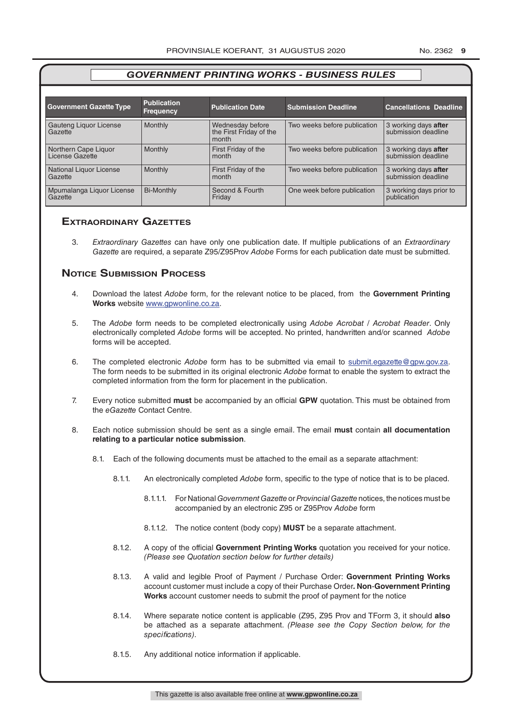|                                         | <b>Publication</b> |                                                      |                              |                                             |
|-----------------------------------------|--------------------|------------------------------------------------------|------------------------------|---------------------------------------------|
| <b>Government Gazette Type</b>          | <b>Frequency</b>   | <b>Publication Date</b>                              | <b>Submission Deadline</b>   | <b>Cancellations Deadline</b>               |
| Gauteng Liquor License<br>Gazette       | Monthly            | Wednesday before<br>the First Friday of the<br>month | Two weeks before publication | 3 working days after<br>submission deadline |
| Northern Cape Liquor<br>License Gazette | Monthly            | First Friday of the<br>month                         | Two weeks before publication | 3 working days after<br>submission deadline |
| National Liquor License<br>Gazette      | Monthly            | First Friday of the<br>month                         | Two weeks before publication | 3 working days after<br>submission deadline |
| Mpumalanga Liquor License<br>Gazette    | <b>Bi-Monthly</b>  | Second & Fourth<br>Friday                            | One week before publication  | 3 working days prior to<br>publication      |

#### **exTrAordinAry gAzeTTes**

3. *Extraordinary Gazettes* can have only one publication date. If multiple publications of an *Extraordinary Gazette* are required, a separate Z95/Z95Prov *Adobe* Forms for each publication date must be submitted.

#### **NOTICE SUBMISSION PROCESS**

- 4. Download the latest *Adobe* form, for the relevant notice to be placed, from the **Government Printing Works** website www.gpwonline.co.za.
- 5. The *Adobe* form needs to be completed electronically using *Adobe Acrobat* / *Acrobat Reader*. Only electronically completed *Adobe* forms will be accepted. No printed, handwritten and/or scanned *Adobe* forms will be accepted.
- 6. The completed electronic *Adobe* form has to be submitted via email to submit.egazette@gpw.gov.za. The form needs to be submitted in its original electronic *Adobe* format to enable the system to extract the completed information from the form for placement in the publication.
- 7. Every notice submitted **must** be accompanied by an official **GPW** quotation. This must be obtained from the *eGazette* Contact Centre.
- 8. Each notice submission should be sent as a single email. The email **must** contain **all documentation relating to a particular notice submission**.
	- 8.1. Each of the following documents must be attached to the email as a separate attachment:
		- 8.1.1. An electronically completed *Adobe* form, specific to the type of notice that is to be placed.
			- 8.1.1.1. For National *Government Gazette* or *Provincial Gazette* notices, the notices must be accompanied by an electronic Z95 or Z95Prov *Adobe* form
			- 8.1.1.2. The notice content (body copy) **MUST** be a separate attachment.
		- 8.1.2. A copy of the official **Government Printing Works** quotation you received for your notice. *(Please see Quotation section below for further details)*
		- 8.1.3. A valid and legible Proof of Payment / Purchase Order: **Government Printing Works** account customer must include a copy of their Purchase Order*.* **Non**-**Government Printing Works** account customer needs to submit the proof of payment for the notice
		- 8.1.4. Where separate notice content is applicable (Z95, Z95 Prov and TForm 3, it should **also** be attached as a separate attachment. *(Please see the Copy Section below, for the specifications)*.
		- 8.1.5. Any additional notice information if applicable.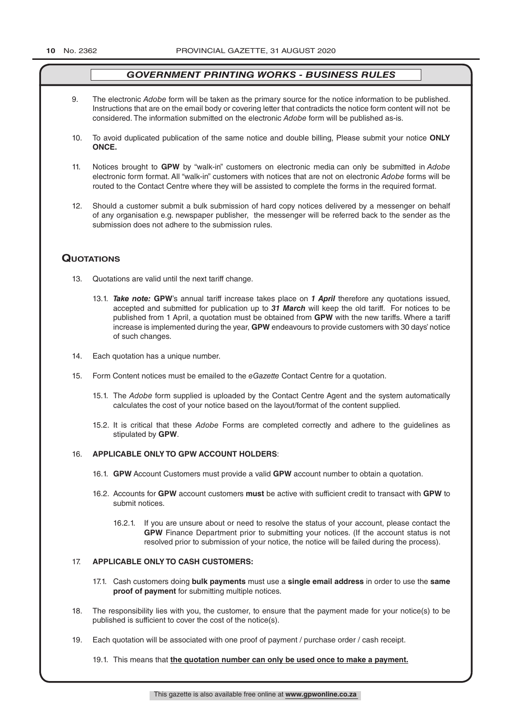- 9. The electronic *Adobe* form will be taken as the primary source for the notice information to be published. Instructions that are on the email body or covering letter that contradicts the notice form content will not be considered. The information submitted on the electronic *Adobe* form will be published as-is.
- 10. To avoid duplicated publication of the same notice and double billing, Please submit your notice **ONLY ONCE.**
- 11. Notices brought to **GPW** by "walk-in" customers on electronic media can only be submitted in *Adobe* electronic form format. All "walk-in" customers with notices that are not on electronic *Adobe* forms will be routed to the Contact Centre where they will be assisted to complete the forms in the required format.
- 12. Should a customer submit a bulk submission of hard copy notices delivered by a messenger on behalf of any organisation e.g. newspaper publisher, the messenger will be referred back to the sender as the submission does not adhere to the submission rules.

#### **QuoTATions**

- 13. Quotations are valid until the next tariff change.
	- 13.1. *Take note:* **GPW**'s annual tariff increase takes place on *1 April* therefore any quotations issued, accepted and submitted for publication up to *31 March* will keep the old tariff. For notices to be published from 1 April, a quotation must be obtained from **GPW** with the new tariffs. Where a tariff increase is implemented during the year, **GPW** endeavours to provide customers with 30 days' notice of such changes.
- 14. Each quotation has a unique number.
- 15. Form Content notices must be emailed to the *eGazette* Contact Centre for a quotation.
	- 15.1. The *Adobe* form supplied is uploaded by the Contact Centre Agent and the system automatically calculates the cost of your notice based on the layout/format of the content supplied.
	- 15.2. It is critical that these *Adobe* Forms are completed correctly and adhere to the guidelines as stipulated by **GPW**.

#### 16. **APPLICABLE ONLY TO GPW ACCOUNT HOLDERS**:

- 16.1. **GPW** Account Customers must provide a valid **GPW** account number to obtain a quotation.
- 16.2. Accounts for **GPW** account customers **must** be active with sufficient credit to transact with **GPW** to submit notices.
	- 16.2.1. If you are unsure about or need to resolve the status of your account, please contact the **GPW** Finance Department prior to submitting your notices. (If the account status is not resolved prior to submission of your notice, the notice will be failed during the process).

#### 17. **APPLICABLE ONLY TO CASH CUSTOMERS:**

- 17.1. Cash customers doing **bulk payments** must use a **single email address** in order to use the **same proof of payment** for submitting multiple notices.
- 18. The responsibility lies with you, the customer, to ensure that the payment made for your notice(s) to be published is sufficient to cover the cost of the notice(s).
- 19. Each quotation will be associated with one proof of payment / purchase order / cash receipt.

19.1. This means that **the quotation number can only be used once to make a payment.**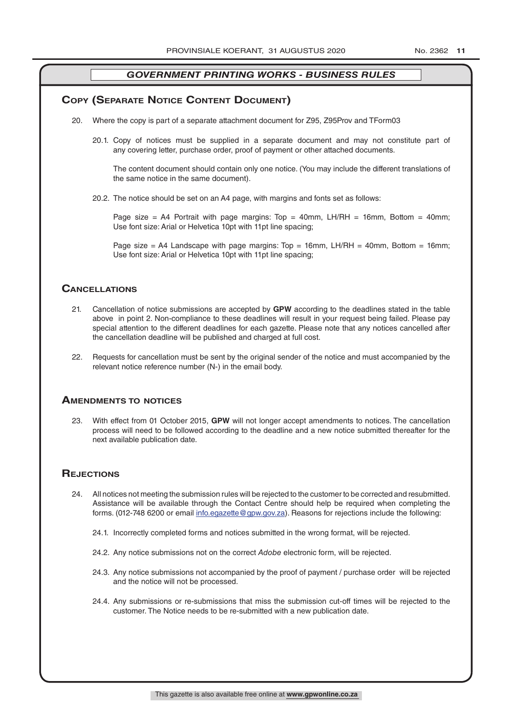#### **COPY (SEPARATE NOTICE CONTENT DOCUMENT)**

- 20. Where the copy is part of a separate attachment document for Z95, Z95Prov and TForm03
	- 20.1. Copy of notices must be supplied in a separate document and may not constitute part of any covering letter, purchase order, proof of payment or other attached documents.

The content document should contain only one notice. (You may include the different translations of the same notice in the same document).

20.2. The notice should be set on an A4 page, with margins and fonts set as follows:

Page size = A4 Portrait with page margins: Top = 40mm, LH/RH = 16mm, Bottom = 40mm; Use font size: Arial or Helvetica 10pt with 11pt line spacing;

Page size = A4 Landscape with page margins: Top = 16mm, LH/RH = 40mm, Bottom = 16mm; Use font size: Arial or Helvetica 10pt with 11pt line spacing;

#### **CAnCellATions**

- 21. Cancellation of notice submissions are accepted by **GPW** according to the deadlines stated in the table above in point 2. Non-compliance to these deadlines will result in your request being failed. Please pay special attention to the different deadlines for each gazette. Please note that any notices cancelled after the cancellation deadline will be published and charged at full cost.
- 22. Requests for cancellation must be sent by the original sender of the notice and must accompanied by the relevant notice reference number (N-) in the email body.

#### **AmendmenTs To noTiCes**

23. With effect from 01 October 2015, **GPW** will not longer accept amendments to notices. The cancellation process will need to be followed according to the deadline and a new notice submitted thereafter for the next available publication date.

#### **REJECTIONS**

- 24. All notices not meeting the submission rules will be rejected to the customer to be corrected and resubmitted. Assistance will be available through the Contact Centre should help be required when completing the forms. (012-748 6200 or email info.egazette@gpw.gov.za). Reasons for rejections include the following:
	- 24.1. Incorrectly completed forms and notices submitted in the wrong format, will be rejected.
	- 24.2. Any notice submissions not on the correct *Adobe* electronic form, will be rejected.
	- 24.3. Any notice submissions not accompanied by the proof of payment / purchase order will be rejected and the notice will not be processed.
	- 24.4. Any submissions or re-submissions that miss the submission cut-off times will be rejected to the customer. The Notice needs to be re-submitted with a new publication date.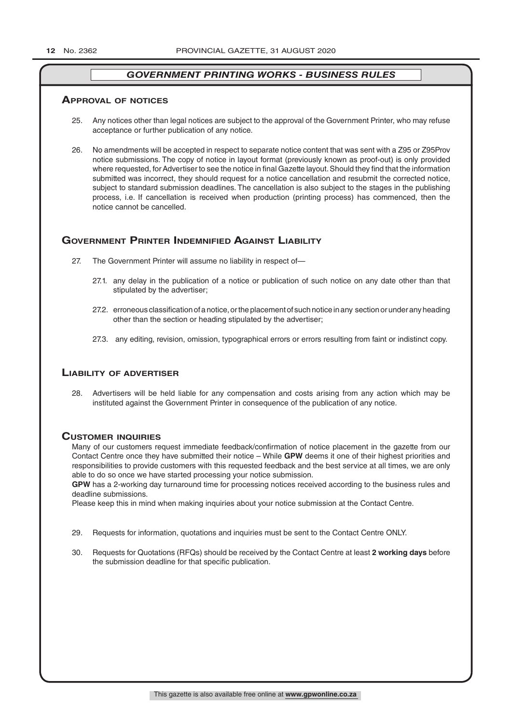#### **ApprovAl of noTiCes**

- 25. Any notices other than legal notices are subject to the approval of the Government Printer, who may refuse acceptance or further publication of any notice.
- 26. No amendments will be accepted in respect to separate notice content that was sent with a Z95 or Z95Prov notice submissions. The copy of notice in layout format (previously known as proof-out) is only provided where requested, for Advertiser to see the notice in final Gazette layout. Should they find that the information submitted was incorrect, they should request for a notice cancellation and resubmit the corrected notice, subject to standard submission deadlines. The cancellation is also subject to the stages in the publishing process, i.e. If cancellation is received when production (printing process) has commenced, then the notice cannot be cancelled.

#### **GOVERNMENT PRINTER INDEMNIFIED AGAINST LIABILITY**

- 27. The Government Printer will assume no liability in respect of—
	- 27.1. any delay in the publication of a notice or publication of such notice on any date other than that stipulated by the advertiser;
	- 27.2. erroneous classification of a notice, or the placement of such notice in any section or under any heading other than the section or heading stipulated by the advertiser;
	- 27.3. any editing, revision, omission, typographical errors or errors resulting from faint or indistinct copy.

#### **liAbiliTy of AdverTiser**

28. Advertisers will be held liable for any compensation and costs arising from any action which may be instituted against the Government Printer in consequence of the publication of any notice.

#### **CusTomer inQuiries**

Many of our customers request immediate feedback/confirmation of notice placement in the gazette from our Contact Centre once they have submitted their notice – While **GPW** deems it one of their highest priorities and responsibilities to provide customers with this requested feedback and the best service at all times, we are only able to do so once we have started processing your notice submission.

**GPW** has a 2-working day turnaround time for processing notices received according to the business rules and deadline submissions.

Please keep this in mind when making inquiries about your notice submission at the Contact Centre.

- 29. Requests for information, quotations and inquiries must be sent to the Contact Centre ONLY.
- 30. Requests for Quotations (RFQs) should be received by the Contact Centre at least **2 working days** before the submission deadline for that specific publication.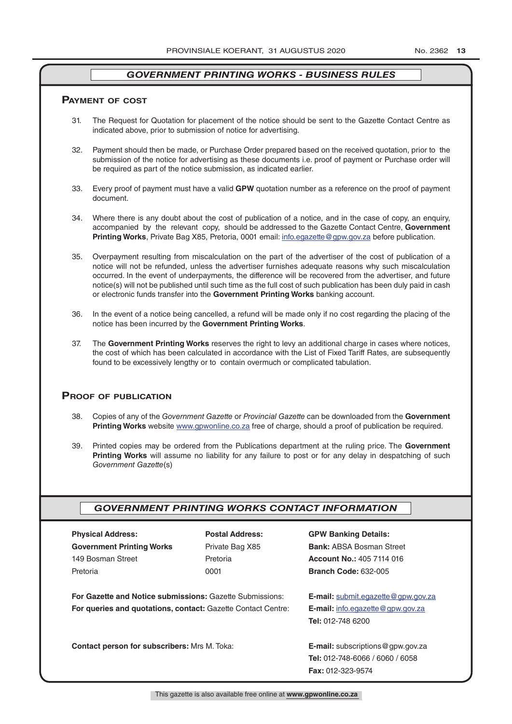#### **pAymenT of CosT**

- 31. The Request for Quotation for placement of the notice should be sent to the Gazette Contact Centre as indicated above, prior to submission of notice for advertising.
- 32. Payment should then be made, or Purchase Order prepared based on the received quotation, prior to the submission of the notice for advertising as these documents i.e. proof of payment or Purchase order will be required as part of the notice submission, as indicated earlier.
- 33. Every proof of payment must have a valid **GPW** quotation number as a reference on the proof of payment document.
- 34. Where there is any doubt about the cost of publication of a notice, and in the case of copy, an enquiry, accompanied by the relevant copy, should be addressed to the Gazette Contact Centre, **Government Printing Works**, Private Bag X85, Pretoria, 0001 email: info.egazette@gpw.gov.za before publication.
- 35. Overpayment resulting from miscalculation on the part of the advertiser of the cost of publication of a notice will not be refunded, unless the advertiser furnishes adequate reasons why such miscalculation occurred. In the event of underpayments, the difference will be recovered from the advertiser, and future notice(s) will not be published until such time as the full cost of such publication has been duly paid in cash or electronic funds transfer into the **Government Printing Works** banking account.
- 36. In the event of a notice being cancelled, a refund will be made only if no cost regarding the placing of the notice has been incurred by the **Government Printing Works**.
- 37. The **Government Printing Works** reserves the right to levy an additional charge in cases where notices, the cost of which has been calculated in accordance with the List of Fixed Tariff Rates, are subsequently found to be excessively lengthy or to contain overmuch or complicated tabulation.

#### **proof of publiCATion**

- 38. Copies of any of the *Government Gazette* or *Provincial Gazette* can be downloaded from the **Government Printing Works** website www.gpwonline.co.za free of charge, should a proof of publication be required.
- 39. Printed copies may be ordered from the Publications department at the ruling price. The **Government Printing Works** will assume no liability for any failure to post or for any delay in despatching of such *Government Gazette*(s)

#### *GOVERNMENT PRINTING WORKS CONTACT INFORMATION*

| <b>Physical Address:</b>                                            | <b>Postal Address:</b> | <b>GPW Banking Details:</b>                 |  |
|---------------------------------------------------------------------|------------------------|---------------------------------------------|--|
| <b>Government Printing Works</b>                                    | Private Bag X85        | <b>Bank: ABSA Bosman Street</b>             |  |
| 149 Bosman Street                                                   | Pretoria               | <b>Account No.: 405 7114 016</b>            |  |
| Pretoria                                                            | 0001                   | <b>Branch Code: 632-005</b>                 |  |
| <b>For Gazette and Notice submissions: Gazette Submissions:</b>     |                        | <b>E-mail:</b> submit.eqazette@gpw.gov.za   |  |
| <b>For queries and quotations, contact: Gazette Contact Centre:</b> |                        | <b>E-mail:</b> info.egazette@gpw.gov.za     |  |
|                                                                     |                        | <b>Tel: 012-748 6200</b>                    |  |
| Contact person for subscribers: Mrs M. Toka:                        |                        | <b>E-mail:</b> subscriptions $@$ gpw.gov.za |  |
|                                                                     |                        | <b>Tel: 012-748-6066 / 6060 / 6058</b>      |  |
|                                                                     |                        | <b>Fax: 012-323-9574</b>                    |  |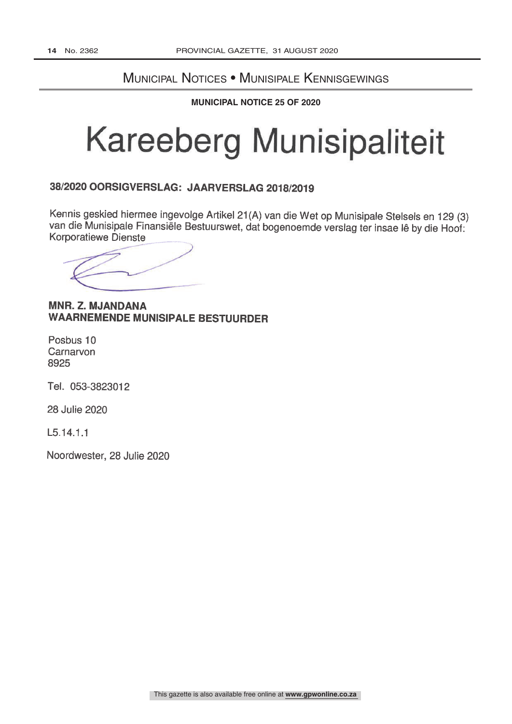# Municipal Notices • Munisipale Kennisgewings

**MUNICIPAL NOTICE 25 OF 2020** 

# **Kareeberg Munisipaliteit**

# 38/2020 OORSIGVERSLAG: JAARVERSLAG 2018/2019

Kennis geskied hiermee ingevolge Artikel 21(A) van die Wet op Munisipale Stelsels en 129 (3) van die Munisipale Finansiële Bestuurswet, dat bogenoemde verslag ter insae lê by die Hoof: **Korporatiewe Dienste** 

## **MNR. Z. MJANDANA WAARNEMENDE MUNISIPALE BESTUURDER**

Posbus 10 Carnarvon 8925

Tel. 053-3823012

28 Julie 2020

 $L5.14.1.1$ 

Noordwester, 28 Julie 2020